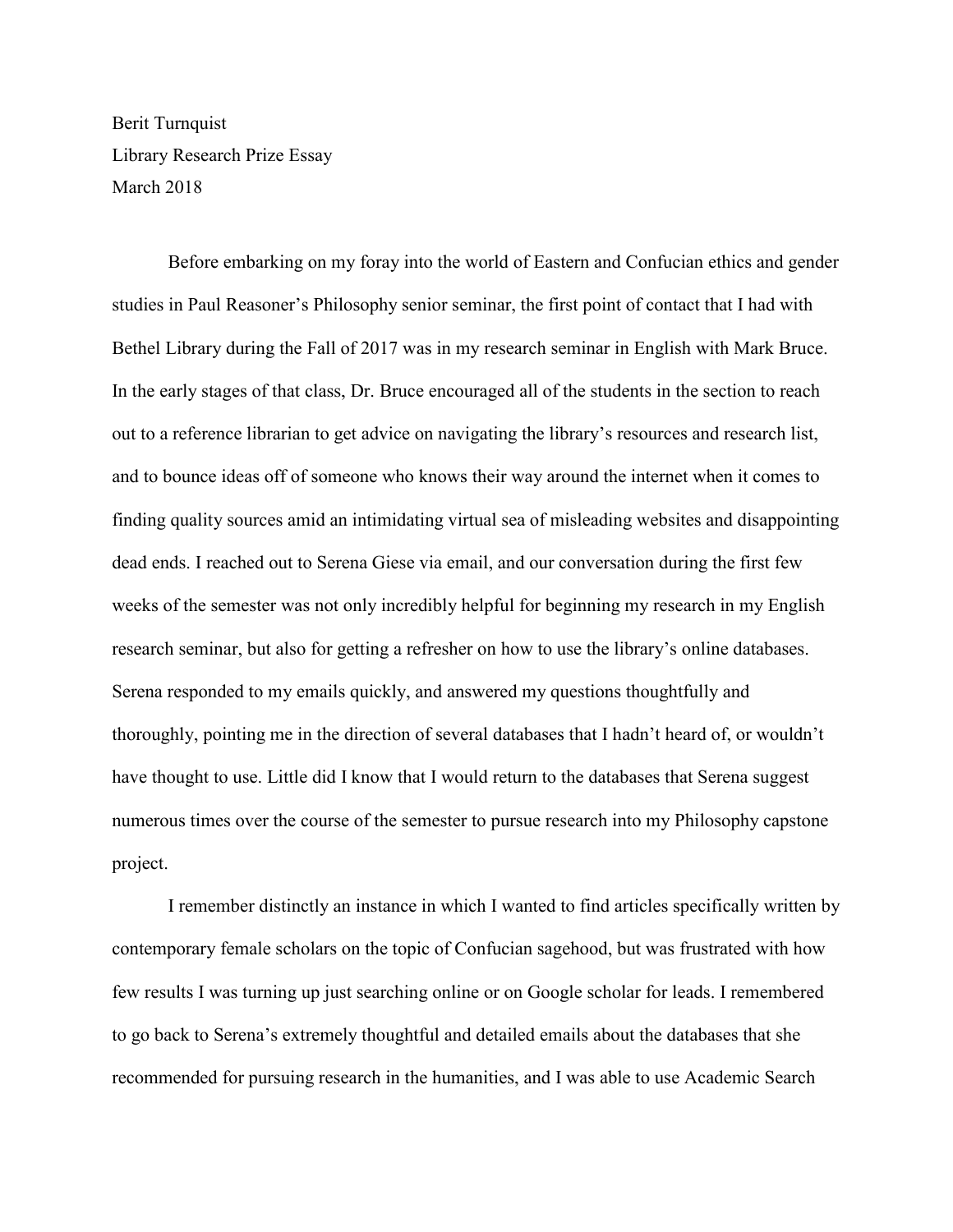Berit Turnquist Library Research Prize Essay March 2018

 Before embarking on my foray into the world of Eastern and Confucian ethics and gender studies in Paul Reasoner's Philosophy senior seminar, the first point of contact that I had with Bethel Library during the Fall of 2017 was in my research seminar in English with Mark Bruce. In the early stages of that class, Dr. Bruce encouraged all of the students in the section to reach out to a reference librarian to get advice on navigating the library's resources and research list, and to bounce ideas off of someone who knows their way around the internet when it comes to finding quality sources amid an intimidating virtual sea of misleading websites and disappointing dead ends. I reached out to Serena Giese via email, and our conversation during the first few weeks of the semester was not only incredibly helpful for beginning my research in my English research seminar, but also for getting a refresher on how to use the library's online databases. Serena responded to my emails quickly, and answered my questions thoughtfully and thoroughly, pointing me in the direction of several databases that I hadn't heard of, or wouldn't have thought to use. Little did I know that I would return to the databases that Serena suggest numerous times over the course of the semester to pursue research into my Philosophy capstone project.

I remember distinctly an instance in which I wanted to find articles specifically written by contemporary female scholars on the topic of Confucian sagehood, but was frustrated with how few results I was turning up just searching online or on Google scholar for leads. I remembered to go back to Serena's extremely thoughtful and detailed emails about the databases that she recommended for pursuing research in the humanities, and I was able to use Academic Search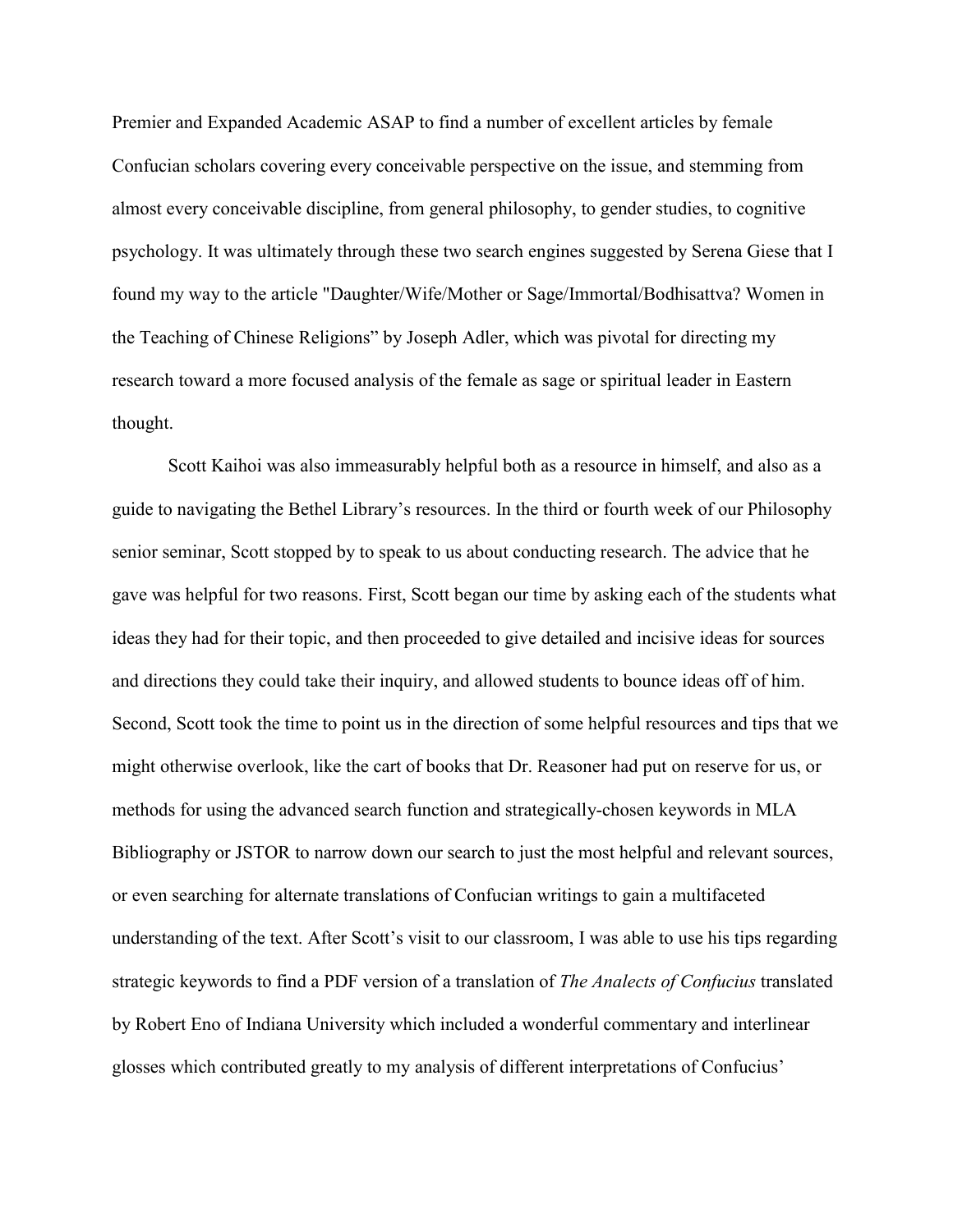Premier and Expanded Academic ASAP to find a number of excellent articles by female Confucian scholars covering every conceivable perspective on the issue, and stemming from almost every conceivable discipline, from general philosophy, to gender studies, to cognitive psychology. It was ultimately through these two search engines suggested by Serena Giese that I found my way to the article "Daughter/Wife/Mother or Sage/Immortal/Bodhisattva? Women in the Teaching of Chinese Religions" by Joseph Adler, which was pivotal for directing my research toward a more focused analysis of the female as sage or spiritual leader in Eastern thought.

Scott Kaihoi was also immeasurably helpful both as a resource in himself, and also as a guide to navigating the Bethel Library's resources. In the third or fourth week of our Philosophy senior seminar, Scott stopped by to speak to us about conducting research. The advice that he gave was helpful for two reasons. First, Scott began our time by asking each of the students what ideas they had for their topic, and then proceeded to give detailed and incisive ideas for sources and directions they could take their inquiry, and allowed students to bounce ideas off of him. Second, Scott took the time to point us in the direction of some helpful resources and tips that we might otherwise overlook, like the cart of books that Dr. Reasoner had put on reserve for us, or methods for using the advanced search function and strategically-chosen keywords in MLA Bibliography or JSTOR to narrow down our search to just the most helpful and relevant sources, or even searching for alternate translations of Confucian writings to gain a multifaceted understanding of the text. After Scott's visit to our classroom, I was able to use his tips regarding strategic keywords to find a PDF version of a translation of *The Analects of Confucius* translated by Robert Eno of Indiana University which included a wonderful commentary and interlinear glosses which contributed greatly to my analysis of different interpretations of Confucius'